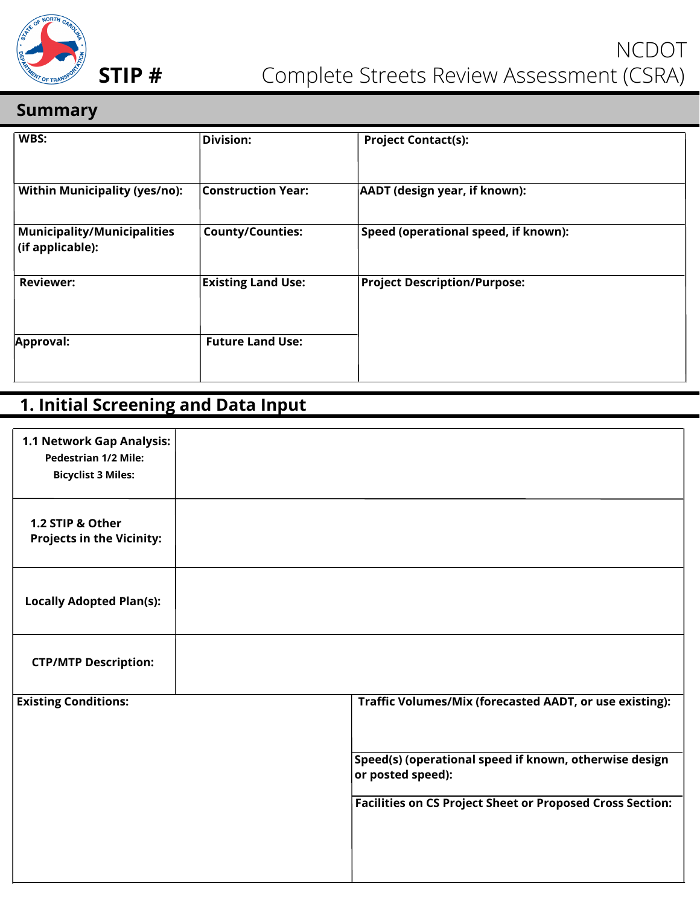

#### **Summary**

| WBS:                                                   | <b>Division:</b>          | <b>Project Contact(s):</b>           |
|--------------------------------------------------------|---------------------------|--------------------------------------|
| <b>Within Municipality (yes/no):</b>                   | <b>Construction Year:</b> | AADT (design year, if known):        |
| <b>Municipality/Municipalities</b><br>(if applicable): | <b>County/Counties:</b>   | Speed (operational speed, if known): |
| <b>Reviewer:</b>                                       | <b>Existing Land Use:</b> | <b>Project Description/Purpose:</b>  |
| Approval:                                              | <b>Future Land Use:</b>   |                                      |

### **1. Initial Screening and Data Input**

| 1.1 Network Gap Analysis:<br><b>Pedestrian 1/2 Mile:</b><br><b>Bicyclist 3 Miles:</b> |                                                                             |
|---------------------------------------------------------------------------------------|-----------------------------------------------------------------------------|
| 1.2 STIP & Other<br><b>Projects in the Vicinity:</b>                                  |                                                                             |
| <b>Locally Adopted Plan(s):</b>                                                       |                                                                             |
| <b>CTP/MTP Description:</b>                                                           |                                                                             |
| <b>Existing Conditions:</b>                                                           | Traffic Volumes/Mix (forecasted AADT, or use existing):                     |
|                                                                                       | Speed(s) (operational speed if known, otherwise design<br>or posted speed): |
|                                                                                       | <b>Facilities on CS Project Sheet or Proposed Cross Section:</b>            |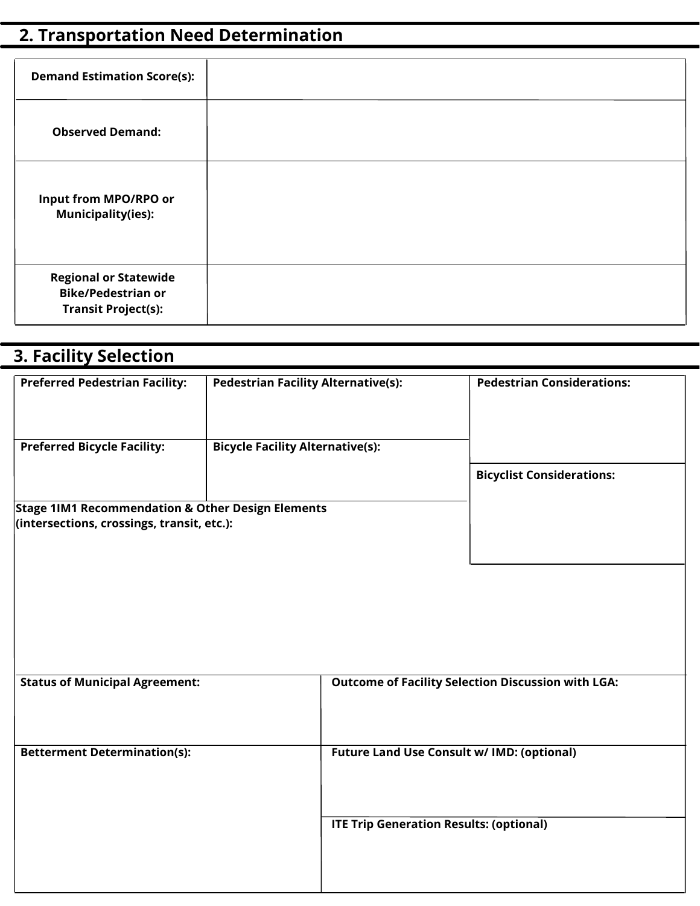# **2. Transportation Need Determination**

| <b>Demand Estimation Score(s):</b>                                                      |  |
|-----------------------------------------------------------------------------------------|--|
| <b>Observed Demand:</b>                                                                 |  |
| Input from MPO/RPO or<br><b>Municipality(ies):</b>                                      |  |
| <b>Regional or Statewide</b><br><b>Bike/Pedestrian or</b><br><b>Transit Project(s):</b> |  |

| <b>3. Facility Selection</b>                                                                               |                                            |                                                |                                                           |
|------------------------------------------------------------------------------------------------------------|--------------------------------------------|------------------------------------------------|-----------------------------------------------------------|
| <b>Preferred Pedestrian Facility:</b>                                                                      | <b>Pedestrian Facility Alternative(s):</b> |                                                | <b>Pedestrian Considerations:</b>                         |
| <b>Preferred Bicycle Facility:</b>                                                                         | <b>Bicycle Facility Alternative(s):</b>    |                                                |                                                           |
|                                                                                                            |                                            |                                                | <b>Bicyclist Considerations:</b>                          |
| <b>Stage 1IM1 Recommendation &amp; Other Design Elements</b><br>(intersections, crossings, transit, etc.): |                                            |                                                |                                                           |
| <b>Status of Municipal Agreement:</b>                                                                      |                                            |                                                | <b>Outcome of Facility Selection Discussion with LGA:</b> |
| <b>Betterment Determination(s):</b>                                                                        |                                            | Future Land Use Consult w/ IMD: (optional)     |                                                           |
|                                                                                                            |                                            | <b>ITE Trip Generation Results: (optional)</b> |                                                           |